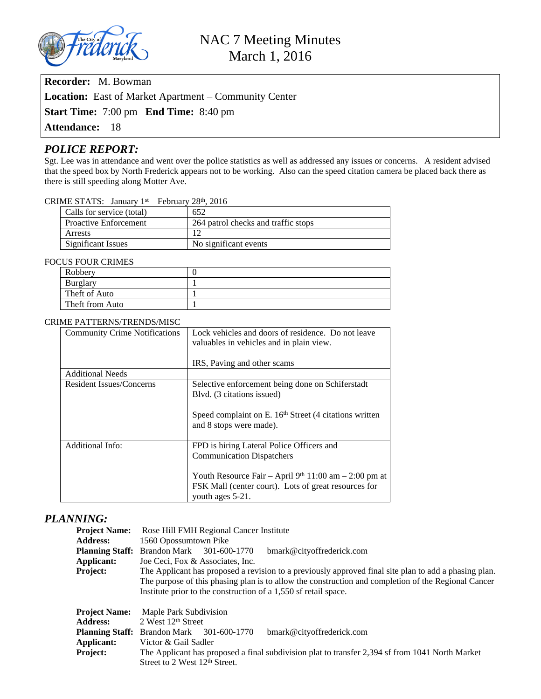

**Recorder:** M. Bowman

**Location:** East of Market Apartment – Community Center

**Start Time:** 7:00 pm **End Time:** 8:40 pm

**Attendance:** 18

# *POLICE REPORT:*

Sgt. Lee was in attendance and went over the police statistics as well as addressed any issues or concerns. A resident advised that the speed box by North Frederick appears not to be working. Also can the speed citation camera be placed back there as there is still speeding along Motter Ave.

### CRIME STATS: January  $1<sup>st</sup>$  – February 28<sup>th</sup>, 2016

| 652                                 |
|-------------------------------------|
| 264 patrol checks and traffic stops |
|                                     |
| No significant events               |
|                                     |

#### FOCUS FOUR CRIMES

| Robbery         |  |
|-----------------|--|
| Burglary        |  |
| Theft of Auto   |  |
| Theft from Auto |  |

#### CRIME PATTERNS/TRENDS/MISC

| <b>Community Crime Notifications</b> | Lock vehicles and doors of residence. Do not leave<br>valuables in vehicles and in plain view. |
|--------------------------------------|------------------------------------------------------------------------------------------------|
|                                      | IRS, Paving and other scams                                                                    |
| <b>Additional Needs</b>              |                                                                                                |
| <b>Resident Issues/Concerns</b>      | Selective enforcement being done on Schiferstadt<br>Blvd. (3 citations issued)                 |
|                                      | Speed complaint on E. 16 <sup>th</sup> Street (4 citations written<br>and 8 stops were made).  |
| Additional Info:                     | FPD is hiring Lateral Police Officers and                                                      |
|                                      | <b>Communication Dispatchers</b>                                                               |
|                                      | Youth Resource Fair – April 9th 11:00 am – 2:00 pm at                                          |
|                                      | FSK Mall (center court). Lots of great resources for<br>youth ages 5-21.                       |

## *PLANNING:*

| <b>Project Name:</b><br><b>Address:</b><br><b>Planning Staff:</b><br><b>Applicant:</b><br>Project: | Rose Hill FMH Regional Cancer Institute<br>1560 Opossumtown Pike<br><b>Brandon Mark</b><br>301-600-1770<br>bmark@cityoffrederick.com<br>Joe Ceci, Fox & Associates, Inc.<br>The Applicant has proposed a revision to a previously approved final site plan to add a phasing plan.<br>The purpose of this phasing plan is to allow the construction and completion of the Regional Cancer<br>Institute prior to the construction of a 1,550 sf retail space. |  |  |  |
|----------------------------------------------------------------------------------------------------|-------------------------------------------------------------------------------------------------------------------------------------------------------------------------------------------------------------------------------------------------------------------------------------------------------------------------------------------------------------------------------------------------------------------------------------------------------------|--|--|--|
| <b>Project Name:</b><br><b>Address:</b><br>Applicant:<br>Project:                                  | Maple Park Subdivision<br>2 West $12th$ Street<br><b>Planning Staff:</b> Brandon Mark<br>bmark@cityoffrederick.com<br>301-600-1770<br>Victor & Gail Sadler<br>The Applicant has proposed a final subdivision plat to transfer 2,394 sf from 1041 North Market<br>Street to 2 West 12 <sup>th</sup> Street.                                                                                                                                                  |  |  |  |